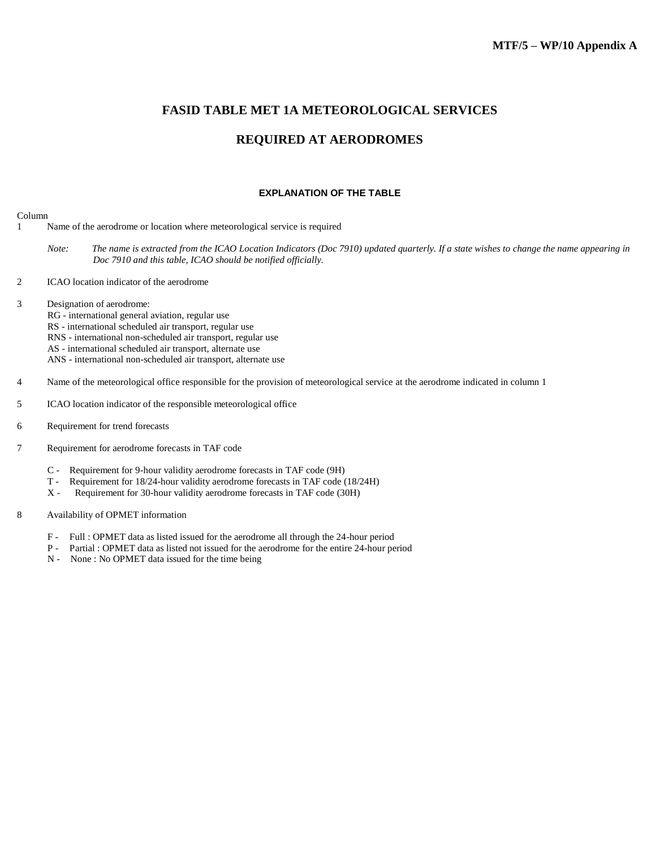### **FASID TABLE MET 1A METEOROLOGICAL SERVICES**

# **REQUIRED AT AERODROMES**

#### **EXPLANATION OF THE TABLE**

#### Column

- 1 Name of the aerodrome or location where meteorological service is required
	- Note: The name is extracted from the ICAO Location Indicators (Doc 7910) updated quarterly. If a state wishes to change the name appearing in *Doc 7910 and this table, ICAO should be notified officially.*
- 2 ICAO location indicator of the aerodrome
- 3 Designation of aerodrome:
	- RG international general aviation, regular use
	- RS international scheduled air transport, regular use
	- RNS international non-scheduled air transport, regular use
	- AS international scheduled air transport, alternate use
	- ANS international non-scheduled air transport, alternate use
- 4 Name of the meteorological office responsible for the provision of meteorological service at the aerodrome indicated in column 1
- 5 ICAO location indicator of the responsible meteorological office
- 6 Requirement for trend forecasts
- 7 Requirement for aerodrome forecasts in TAF code
	- C Requirement for 9-hour validity aerodrome forecasts in TAF code (9H)
	- T Requirement for 18/24-hour validity aerodrome forecasts in TAF code (18/24H)
	- X Requirement for 30-hour validity aerodrome forecasts in TAF code (30H)
- 8 Availability of OPMET information
	- F Full : OPMET data as listed issued for the aerodrome all through the 24-hour period
	- P Partial : OPMET data as listed not issued for the aerodrome for the entire 24-hour period
	- N None : No OPMET data issued for the time being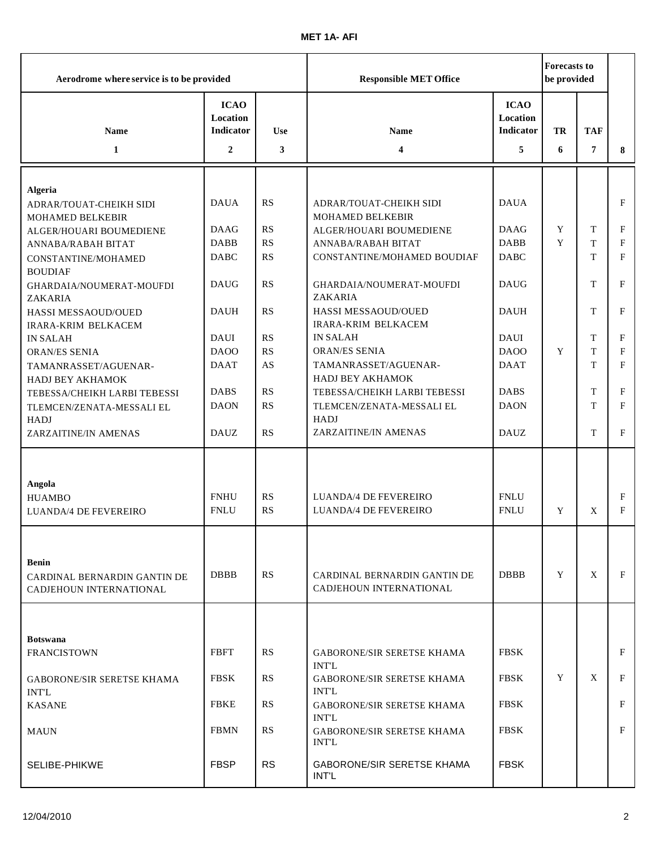| Aerodrome where service is to be provided                               |                                                               |                 | <b>Responsible MET Office</b>                           |                                                  | <b>Forecasts to</b><br>be provided |                 |              |
|-------------------------------------------------------------------------|---------------------------------------------------------------|-----------------|---------------------------------------------------------|--------------------------------------------------|------------------------------------|-----------------|--------------|
| <b>Name</b><br>1                                                        | <b>ICAO</b><br>Location<br><b>Indicator</b><br>$\overline{2}$ | <b>Use</b><br>3 | Name<br>4                                               | <b>ICAO</b><br>Location<br><b>Indicator</b><br>5 | <b>TR</b><br>6                     | <b>TAF</b><br>7 | 8            |
|                                                                         |                                                               |                 |                                                         |                                                  |                                    |                 |              |
| <b>Algeria</b><br>ADRAR/TOUAT-CHEIKH SIDI<br>MOHAMED BELKEBIR           | <b>DAUA</b>                                                   | RS              | <b>ADRAR/TOUAT-CHEIKH SIDI</b><br>MOHAMED BELKEBIR      | <b>DAUA</b>                                      |                                    |                 | F            |
| ALGER/HOUARI BOUMEDIENE                                                 | <b>DAAG</b>                                                   | <b>RS</b>       | ALGER/HOUARI BOUMEDIENE                                 | <b>DAAG</b>                                      | Y                                  | T               | F            |
| ANNABA/RABAH BITAT                                                      | <b>DABB</b>                                                   | RS              | ANNABA/RABAH BITAT                                      | <b>DABB</b>                                      | Y                                  | T               | F            |
| CONSTANTINE/MOHAMED<br><b>BOUDIAF</b>                                   | <b>DABC</b>                                                   | <b>RS</b>       | CONSTANTINE/MOHAMED BOUDIAF                             | <b>DABC</b>                                      |                                    | T               | F            |
| GHARDAIA/NOUMERAT-MOUFDI<br>ZAKARIA                                     | <b>DAUG</b>                                                   | RS              | GHARDAIA/NOUMERAT-MOUFDI<br>ZAKARIA                     | <b>DAUG</b>                                      |                                    | T               | F            |
| HASSI MESSAOUD/OUED<br>IRARA-KRIM BELKACEM                              | <b>DAUH</b>                                                   | <b>RS</b>       | HASSI MESSAOUD/OUED<br><b>IRARA-KRIM BELKACEM</b>       | <b>DAUH</b>                                      |                                    | T               | $\mathbf F$  |
| <b>IN SALAH</b>                                                         | <b>DAUI</b>                                                   | <b>RS</b>       | <b>IN SALAH</b>                                         | <b>DAUI</b>                                      |                                    | T               | F            |
| <b>ORAN/ES SENIA</b>                                                    | DAOO                                                          | RS              | ORAN/ES SENIA                                           | DAOO                                             | Y                                  | T               | $\mathbf{F}$ |
| TAMANRASSET/AGUENAR-<br>HADJ BEY AKHAMOK                                | <b>DAAT</b>                                                   | AS              | TAMANRASSET/AGUENAR-<br>HADJ BEY AKHAMOK                | <b>DAAT</b>                                      |                                    | T               | F            |
| TEBESSA/CHEIKH LARBI TEBESSI                                            | <b>DABS</b>                                                   | RS              | TEBESSA/CHEIKH LARBI TEBESSI                            | <b>DABS</b>                                      |                                    | T               | F            |
| TLEMCEN/ZENATA-MESSALI EL                                               | <b>DAON</b>                                                   | <b>RS</b>       | TLEMCEN/ZENATA-MESSALI EL                               | <b>DAON</b>                                      |                                    | T               | F            |
| <b>HADJ</b><br>ZARZAITINE/IN AMENAS                                     | <b>DAUZ</b>                                                   | <b>RS</b>       | <b>HADJ</b><br>ZARZAITINE/IN AMENAS                     | <b>DAUZ</b>                                      |                                    | T               | F            |
|                                                                         |                                                               |                 |                                                         |                                                  |                                    |                 |              |
| Angola<br><b>HUAMBO</b><br>LUANDA/4 DE FEVEREIRO                        | <b>FNHU</b><br><b>FNLU</b>                                    | RS<br>RS        | LUANDA/4 DE FEVEREIRO<br><b>LUANDA/4 DE FEVEREIRO</b>   | <b>FNLU</b><br><b>FNLU</b>                       | Y                                  | X               | F<br>F       |
| <b>Benin</b><br>CARDINAL BERNARDIN GANTIN DE<br>CADJEHOUN INTERNATIONAL | <b>DBBB</b>                                                   | <b>RS</b>       | CARDINAL BERNARDIN GANTIN DE<br>CADJEHOUN INTERNATIONAL | <b>DBBB</b>                                      | Y                                  | X               | F            |
|                                                                         |                                                               |                 |                                                         |                                                  |                                    |                 |              |
| <b>Botswana</b>                                                         |                                                               |                 |                                                         |                                                  |                                    |                 |              |
| <b>FRANCISTOWN</b>                                                      | <b>FBFT</b>                                                   | RS              | <b>GABORONE/SIR SERETSE KHAMA</b><br><b>INT'L</b>       | <b>FBSK</b>                                      |                                    |                 | F            |
| <b>GABORONE/SIR SERETSE KHAMA</b><br><b>INT'L</b>                       | <b>FBSK</b>                                                   | RS              | GABORONE/SIR SERETSE KHAMA<br><b>INT'L</b>              | <b>FBSK</b>                                      | Y                                  | X               | F            |
| <b>KASANE</b>                                                           | <b>FBKE</b>                                                   | RS              | GABORONE/SIR SERETSE KHAMA<br><b>INT'L</b>              | <b>FBSK</b>                                      |                                    |                 | F            |
| <b>MAUN</b>                                                             | <b>FBMN</b>                                                   | RS              | <b>GABORONE/SIR SERETSE KHAMA</b><br><b>INT'L</b>       | <b>FBSK</b>                                      |                                    |                 | F            |
| SELIBE-PHIKWE                                                           | <b>FBSP</b>                                                   | <b>RS</b>       | <b>GABORONE/SIR SERETSE KHAMA</b><br>INT'L              | <b>FBSK</b>                                      |                                    |                 |              |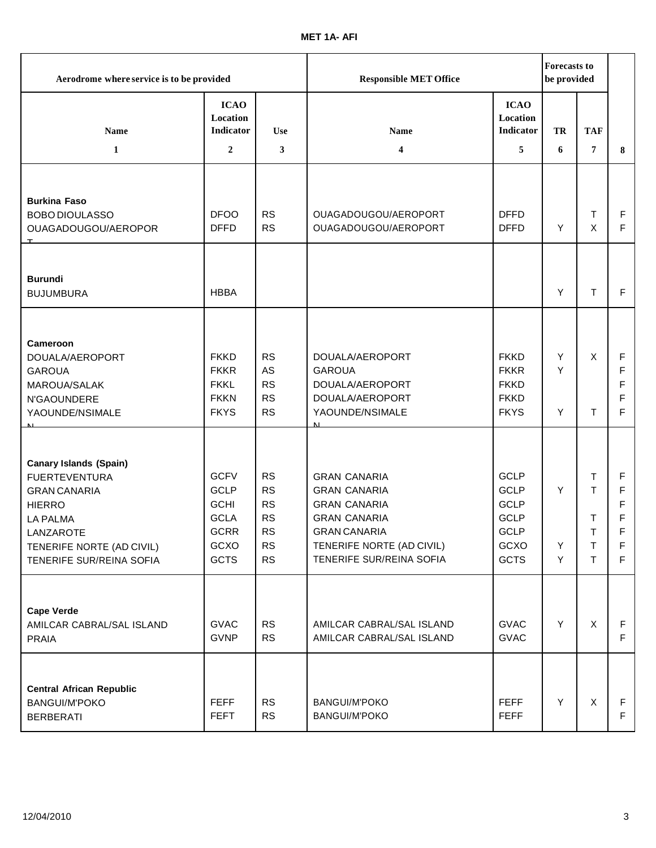| Aerodrome where service is to be provided                                                                                                                                              |                                                                                                |                                                                                  | <b>Responsible MET Office</b>                                                                                                                                            |                                                                                                | <b>Forecasts to</b><br>be provided |                             |                                 |
|----------------------------------------------------------------------------------------------------------------------------------------------------------------------------------------|------------------------------------------------------------------------------------------------|----------------------------------------------------------------------------------|--------------------------------------------------------------------------------------------------------------------------------------------------------------------------|------------------------------------------------------------------------------------------------|------------------------------------|-----------------------------|---------------------------------|
| <b>Name</b>                                                                                                                                                                            | <b>ICAO</b><br>Location<br><b>Indicator</b>                                                    | <b>Use</b>                                                                       | <b>Name</b>                                                                                                                                                              | <b>ICAO</b><br>Location<br>Indicator                                                           | TR                                 | <b>TAF</b>                  |                                 |
| $\mathbf{1}$                                                                                                                                                                           | $\overline{2}$                                                                                 | 3                                                                                | 4                                                                                                                                                                        | 5                                                                                              | 6                                  | 7                           | 8                               |
| <b>Burkina Faso</b><br><b>BOBO DIOULASSO</b><br>OUAGADOUGOU/AEROPOR<br>$\mathbf{T}$                                                                                                    | <b>DFOO</b><br><b>DFFD</b>                                                                     | <b>RS</b><br><b>RS</b>                                                           | OUAGADOUGOU/AEROPORT<br>OUAGADOUGOU/AEROPORT                                                                                                                             | <b>DFFD</b><br><b>DFFD</b>                                                                     | Y                                  | T<br>X                      | F<br>F                          |
| <b>Burundi</b><br><b>BUJUMBURA</b>                                                                                                                                                     | <b>HBBA</b>                                                                                    |                                                                                  |                                                                                                                                                                          |                                                                                                | Y                                  | T                           | F                               |
| Cameroon<br>DOUALA/AEROPORT<br><b>GAROUA</b><br>MAROUA/SALAK<br>N'GAOUNDERE<br>YAOUNDE/NSIMALE                                                                                         | <b>FKKD</b><br><b>FKKR</b><br><b>FKKL</b><br><b>FKKN</b><br><b>FKYS</b>                        | <b>RS</b><br>AS<br><b>RS</b><br><b>RS</b><br>RS                                  | DOUALA/AEROPORT<br><b>GAROUA</b><br>DOUALA/AEROPORT<br>DOUALA/AEROPORT<br>YAOUNDE/NSIMALE<br>$\mathbf{M}$                                                                | <b>FKKD</b><br><b>FKKR</b><br><b>FKKD</b><br><b>FKKD</b><br><b>FKYS</b>                        | Y<br>Y<br>Y                        | X<br>T                      | F<br>F<br>F<br>F<br>F           |
| <b>Canary Islands (Spain)</b><br><b>FUERTEVENTURA</b><br><b>GRAN CANARIA</b><br><b>HIERRO</b><br><b>LA PALMA</b><br>LANZAROTE<br>TENERIFE NORTE (AD CIVIL)<br>TENERIFE SUR/REINA SOFIA | <b>GCFV</b><br><b>GCLP</b><br><b>GCHI</b><br><b>GCLA</b><br><b>GCRR</b><br>GCXO<br><b>GCTS</b> | RS<br><b>RS</b><br><b>RS</b><br><b>RS</b><br><b>RS</b><br><b>RS</b><br><b>RS</b> | <b>GRAN CANARIA</b><br><b>GRAN CANARIA</b><br><b>GRAN CANARIA</b><br><b>GRAN CANARIA</b><br><b>GRAN CANARIA</b><br>TENERIFE NORTE (AD CIVIL)<br>TENERIFE SUR/REINA SOFIA | <b>GCLP</b><br><b>GCLP</b><br><b>GCLP</b><br><b>GCLP</b><br><b>GCLP</b><br>GCXO<br><b>GCTS</b> | Y<br>Y<br>Y                        | Т<br>T<br>Τ<br>т<br>T<br>T. | F<br>F<br>F<br>F<br>F<br>F<br>F |
| <b>Cape Verde</b><br>AMILCAR CABRAL/SAL ISLAND<br><b>PRAIA</b><br><b>Central African Republic</b><br><b>BANGUI/M'POKO</b><br><b>BERBERATI</b>                                          | <b>GVAC</b><br><b>GVNP</b><br><b>FEFF</b><br><b>FEFT</b>                                       | RS<br><b>RS</b><br><b>RS</b><br><b>RS</b>                                        | AMILCAR CABRAL/SAL ISLAND<br>AMILCAR CABRAL/SAL ISLAND<br><b>BANGUI/M'POKO</b><br>BANGUI/M'POKO                                                                          | <b>GVAC</b><br><b>GVAC</b><br><b>FEFF</b><br><b>FEFF</b>                                       | Y<br>Y                             | X<br>X                      | F<br>F<br>F<br>F                |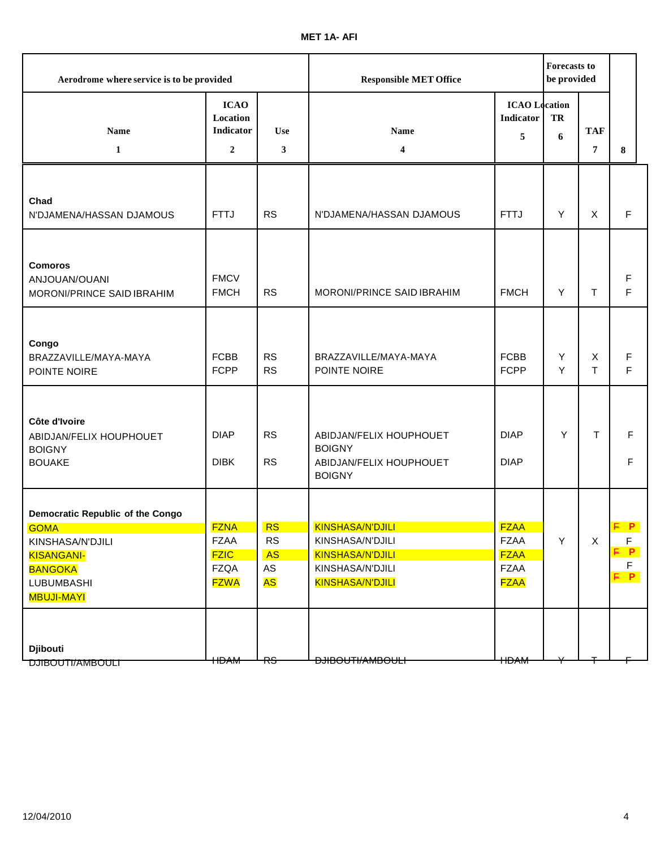| Aerodrome where service is to be provided                                                                                                            |                                                                         |                                                        | <b>Responsible MET Office</b>                                                                           |                                                                         | <b>Forecasts to</b><br>be provided |                                |                             |
|------------------------------------------------------------------------------------------------------------------------------------------------------|-------------------------------------------------------------------------|--------------------------------------------------------|---------------------------------------------------------------------------------------------------------|-------------------------------------------------------------------------|------------------------------------|--------------------------------|-----------------------------|
| Name<br>$\mathbf{1}$                                                                                                                                 | <b>ICAO</b><br>Location<br>Indicator<br>$\overline{2}$                  | <b>Use</b><br>3                                        | Name<br>4                                                                                               | <b>ICAO</b> Location<br>Indicator<br>5                                  | TR<br>6                            | <b>TAF</b><br>7                | 8                           |
|                                                                                                                                                      |                                                                         |                                                        |                                                                                                         |                                                                         |                                    |                                |                             |
| Chad<br>N'DJAMENA/HASSAN DJAMOUS                                                                                                                     | <b>FTTJ</b>                                                             | <b>RS</b>                                              | N'DJAMENA/HASSAN DJAMOUS                                                                                | <b>FTTJ</b>                                                             | Y                                  | X                              | F                           |
| <b>Comoros</b><br>ANJOUAN/OUANI<br>MORONI/PRINCE SAID IBRAHIM                                                                                        | <b>FMCV</b><br><b>FMCH</b>                                              | <b>RS</b>                                              | MORONI/PRINCE SAID IBRAHIM                                                                              | <b>FMCH</b>                                                             | Y                                  | T                              | F<br>F                      |
| Congo<br>BRAZZAVILLE/MAYA-MAYA<br>POINTE NOIRE                                                                                                       | <b>FCBB</b><br><b>FCPP</b>                                              | <b>RS</b><br><b>RS</b>                                 | BRAZZAVILLE/MAYA-MAYA<br>POINTE NOIRE                                                                   | <b>FCBB</b><br><b>FCPP</b>                                              | Y<br>Y                             | $\boldsymbol{\mathsf{X}}$<br>T | F<br>F                      |
| Côte d'Ivoire<br>ABIDJAN/FELIX HOUPHOUET<br><b>BOIGNY</b><br><b>BOUAKE</b>                                                                           | <b>DIAP</b><br><b>DIBK</b>                                              | <b>RS</b><br><b>RS</b>                                 | ABIDJAN/FELIX HOUPHOUET<br><b>BOIGNY</b><br>ABIDJAN/FELIX HOUPHOUET<br><b>BOIGNY</b>                    | <b>DIAP</b><br><b>DIAP</b>                                              | Y                                  | T                              | F<br>F                      |
| <b>Democratic Republic of the Congo</b><br><b>GOMA</b><br>KINSHASA/N'DJILI<br><b>KISANGANI-</b><br><b>BANGOKA</b><br>LUBUMBASHI<br><b>MBUJI-MAYI</b> | <b>FZNA</b><br><b>FZAA</b><br><b>FZIC</b><br><b>FZQA</b><br><b>FZWA</b> | <b>RS</b><br><b>RS</b><br><b>AS</b><br>AS<br><b>AS</b> | <b>KINSHASA/N'DJILI</b><br>KINSHASA/N'DJILI<br>KINSHASA/N'DJILI<br>KINSHASA/N'DJILI<br>KINSHASA/N'DJILI | <b>FZAA</b><br><b>FZAA</b><br><b>FZAA</b><br><b>FZAA</b><br><b>FZAA</b> | Y                                  | $\mathsf X$                    | E P<br>F<br>E P<br>F<br>F P |
| <b>Djibouti</b><br><b>DJIBOUTI/AMBOULI</b>                                                                                                           | <b>HDAM</b>                                                             | RS                                                     | <del>DJIBOUTI/AMBOULI</del>                                                                             | <b>HDAM</b>                                                             |                                    |                                |                             |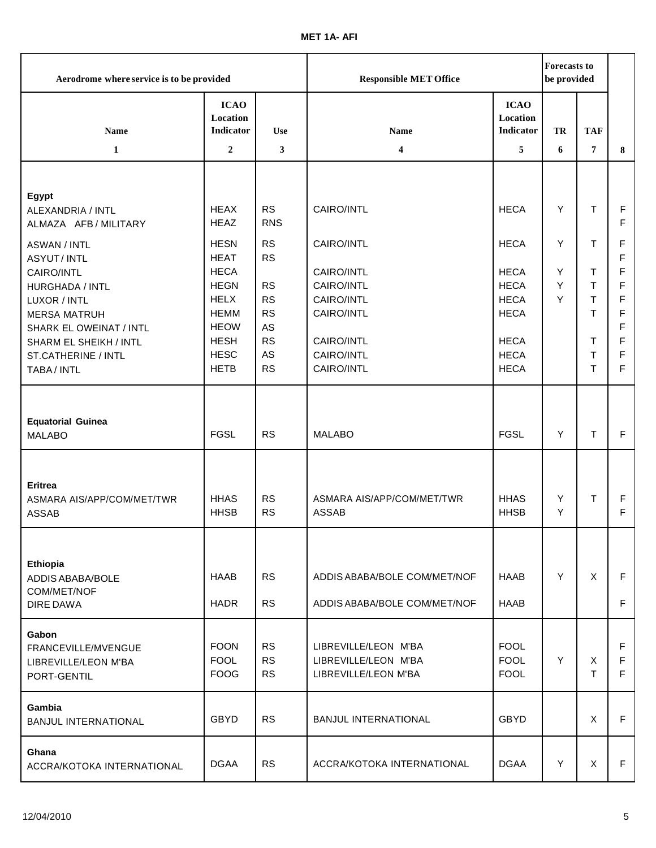| Aerodrome where service is to be provided                                                                                                                                                                   |                                                                                                                                                    |                                                                                                     | <b>Responsible MET Office</b>                                                                                |                                                                                                                      |                  | <b>Forecasts to</b><br>be provided   |                                                |
|-------------------------------------------------------------------------------------------------------------------------------------------------------------------------------------------------------------|----------------------------------------------------------------------------------------------------------------------------------------------------|-----------------------------------------------------------------------------------------------------|--------------------------------------------------------------------------------------------------------------|----------------------------------------------------------------------------------------------------------------------|------------------|--------------------------------------|------------------------------------------------|
| <b>Name</b>                                                                                                                                                                                                 | <b>ICAO</b><br>Location<br>Indicator                                                                                                               | <b>Use</b>                                                                                          | Name                                                                                                         | <b>ICAO</b><br>Location<br><b>Indicator</b>                                                                          | <b>TR</b>        | <b>TAF</b>                           |                                                |
| $\mathbf{1}$                                                                                                                                                                                                | $\overline{2}$                                                                                                                                     | 3                                                                                                   | 4                                                                                                            | 5                                                                                                                    | 6                | 7                                    | 8                                              |
| Egypt<br>ALEXANDRIA / INTL<br>ALMAZA AFB / MILITARY                                                                                                                                                         | <b>HEAX</b><br><b>HEAZ</b>                                                                                                                         | <b>RS</b><br><b>RNS</b>                                                                             | CAIRO/INTL                                                                                                   | <b>HECA</b>                                                                                                          | Y                | T.                                   | F<br>F                                         |
| <b>ASWAN / INTL</b><br><b>ASYUT/INTL</b><br>CAIRO/INTL<br>HURGHADA / INTL<br>LUXOR / INTL<br><b>MERSA MATRUH</b><br>SHARK EL OWEINAT / INTL<br>SHARM EL SHEIKH / INTL<br>ST.CATHERINE / INTL<br>TABA / INTL | <b>HESN</b><br><b>HEAT</b><br><b>HECA</b><br><b>HEGN</b><br><b>HELX</b><br><b>HEMM</b><br><b>HEOW</b><br><b>HESH</b><br><b>HESC</b><br><b>HETB</b> | <b>RS</b><br><b>RS</b><br><b>RS</b><br><b>RS</b><br><b>RS</b><br>AS<br><b>RS</b><br>AS<br><b>RS</b> | CAIRO/INTL<br>CAIRO/INTL<br>CAIRO/INTL<br>CAIRO/INTL<br>CAIRO/INTL<br>CAIRO/INTL<br>CAIRO/INTL<br>CAIRO/INTL | <b>HECA</b><br><b>HECA</b><br><b>HECA</b><br><b>HECA</b><br><b>HECA</b><br><b>HECA</b><br><b>HECA</b><br><b>HECA</b> | Y<br>Y<br>Y<br>Y | Τ<br>T<br>T<br>T<br>T<br>T<br>T<br>T | F<br>F<br>F<br>F<br>F<br>F<br>F<br>F<br>F<br>F |
| <b>Equatorial Guinea</b><br><b>MALABO</b>                                                                                                                                                                   | <b>FGSL</b>                                                                                                                                        | <b>RS</b>                                                                                           | <b>MALABO</b>                                                                                                | <b>FGSL</b>                                                                                                          | Y                | T.                                   | F.                                             |
| <b>Eritrea</b><br>ASMARA AIS/APP/COM/MET/TWR<br><b>ASSAB</b>                                                                                                                                                | <b>HHAS</b><br><b>HHSB</b>                                                                                                                         | <b>RS</b><br><b>RS</b>                                                                              | ASMARA AIS/APP/COM/MET/TWR<br><b>ASSAB</b>                                                                   | <b>HHAS</b><br><b>HHSB</b>                                                                                           | Y<br>Υ           | T                                    | F<br>F                                         |
| Ethiopia<br>ADDIS ABABA/BOLE<br>COM/MET/NOF<br>DIRE DAWA                                                                                                                                                    | <b>HAAB</b><br><b>HADR</b>                                                                                                                         | <b>RS</b><br><b>RS</b>                                                                              | ADDIS ABABA/BOLE COM/MET/NOF<br>ADDIS ABABA/BOLE COM/MET/NOF                                                 | <b>HAAB</b><br><b>HAAB</b>                                                                                           | Y                | X                                    | F<br>F.                                        |
| Gabon<br>FRANCEVILLE/MVENGUE<br>LIBREVILLE/LEON M'BA<br>PORT-GENTIL                                                                                                                                         | <b>FOON</b><br><b>FOOL</b><br><b>FOOG</b>                                                                                                          | <b>RS</b><br><b>RS</b><br><b>RS</b>                                                                 | LIBREVILLE/LEON M'BA<br>LIBREVILLE/LEON M'BA<br>LIBREVILLE/LEON M'BA                                         | <b>FOOL</b><br><b>FOOL</b><br><b>FOOL</b>                                                                            | Y                | Χ<br>Τ                               | F<br>F<br>F                                    |
| Gambia<br><b>BANJUL INTERNATIONAL</b>                                                                                                                                                                       | <b>GBYD</b>                                                                                                                                        | <b>RS</b>                                                                                           | <b>BANJUL INTERNATIONAL</b>                                                                                  | <b>GBYD</b>                                                                                                          |                  | X                                    | F                                              |
| Ghana<br>ACCRA/KOTOKA INTERNATIONAL                                                                                                                                                                         | <b>DGAA</b>                                                                                                                                        | <b>RS</b>                                                                                           | ACCRA/KOTOKA INTERNATIONAL                                                                                   | <b>DGAA</b>                                                                                                          | Υ                | X                                    | F                                              |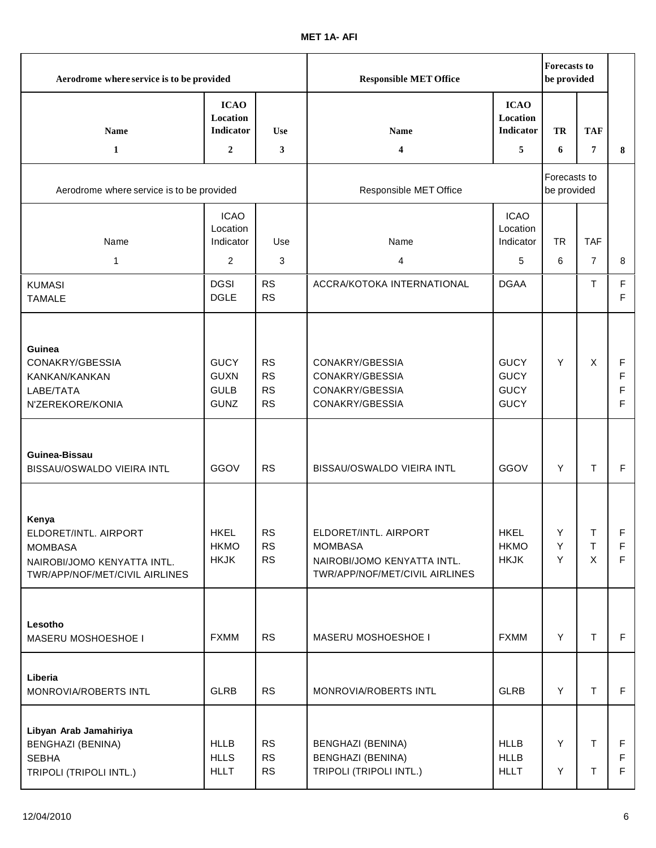| Aerodrome where service is to be provided                                                                         |                                                          |                                                  | <b>Responsible MET Office</b>                                                                            |                                                          | <b>Forecasts to</b><br>be provided |                     |                  |
|-------------------------------------------------------------------------------------------------------------------|----------------------------------------------------------|--------------------------------------------------|----------------------------------------------------------------------------------------------------------|----------------------------------------------------------|------------------------------------|---------------------|------------------|
| Name<br>1                                                                                                         | <b>ICAO</b><br>Location<br>Indicator<br>$\boldsymbol{2}$ | <b>Use</b><br>3                                  | Name<br>4                                                                                                | <b>ICAO</b><br>Location<br>Indicator<br>5                | TR<br>6                            | <b>TAF</b><br>7     | 8                |
|                                                                                                                   |                                                          |                                                  |                                                                                                          |                                                          |                                    |                     |                  |
| Aerodrome where service is to be provided                                                                         |                                                          | Responsible MET Office                           |                                                                                                          | Forecasts to<br>be provided                              |                                    |                     |                  |
| Name                                                                                                              | <b>ICAO</b><br>Location<br>Indicator                     | Use                                              | Name                                                                                                     | <b>ICAO</b><br>Location<br>Indicator                     | <b>TR</b>                          | <b>TAF</b>          |                  |
| 1                                                                                                                 | $\overline{2}$                                           | 3                                                | 4                                                                                                        | 5                                                        | 6                                  | $\overline{7}$      | 8                |
| <b>KUMASI</b><br><b>TAMALE</b>                                                                                    | <b>DGSI</b><br><b>DGLE</b>                               | <b>RS</b><br><b>RS</b>                           | ACCRA/KOTOKA INTERNATIONAL                                                                               | <b>DGAA</b>                                              |                                    | T                   | F<br>F           |
| Guinea<br>CONAKRY/GBESSIA<br>KANKAN/KANKAN<br>LABE/TATA<br>N'ZEREKORE/KONIA                                       | <b>GUCY</b><br><b>GUXN</b><br><b>GULB</b><br><b>GUNZ</b> | <b>RS</b><br><b>RS</b><br><b>RS</b><br><b>RS</b> | CONAKRY/GBESSIA<br>CONAKRY/GBESSIA<br>CONAKRY/GBESSIA<br>CONAKRY/GBESSIA                                 | <b>GUCY</b><br><b>GUCY</b><br><b>GUCY</b><br><b>GUCY</b> | Y                                  | X                   | F<br>F<br>F<br>F |
| Guinea-Bissau<br>BISSAU/OSWALDO VIEIRA INTL                                                                       | GGOV                                                     | <b>RS</b>                                        | BISSAU/OSWALDO VIEIRA INTL                                                                               | GGOV                                                     | Υ                                  | T.                  | $\mathsf F$      |
| Kenya<br>ELDORET/INTL. AIRPORT<br><b>MOMBASA</b><br>NAIROBI/JOMO KENYATTA INTL.<br>TWR/APP/NOF/MET/CIVIL AIRLINES | <b>HKEL</b><br><b>HKMO</b><br><b>HKJK</b>                | <b>RS</b><br><b>RS</b><br><b>RS</b>              | ELDORET/INTL. AIRPORT<br><b>MOMBASA</b><br>NAIROBI/JOMO KENYATTA INTL.<br>TWR/APP/NOF/MET/CIVIL AIRLINES | <b>HKEL</b><br><b>HKMO</b><br><b>HKJK</b>                | Y.<br>Y<br>Y                       | T.<br>T<br>$\times$ | F<br>F<br>F      |
| Lesotho<br>MASERU MOSHOESHOE I                                                                                    | <b>FXMM</b>                                              | <b>RS</b>                                        | MASERU MOSHOESHOE I                                                                                      | <b>FXMM</b>                                              | Y                                  | T.                  | F.               |
| Liberia<br>MONROVIA/ROBERTS INTL                                                                                  | <b>GLRB</b>                                              | <b>RS</b>                                        | MONROVIA/ROBERTS INTL                                                                                    | <b>GLRB</b>                                              | Y                                  | $\mathsf T$         | F.               |
| Libyan Arab Jamahiriya<br><b>BENGHAZI (BENINA)</b><br><b>SEBHA</b><br>TRIPOLI (TRIPOLI INTL.)                     | <b>HLLB</b><br><b>HLLS</b><br><b>HLLT</b>                | <b>RS</b><br><b>RS</b><br><b>RS</b>              | <b>BENGHAZI (BENINA)</b><br><b>BENGHAZI (BENINA)</b><br>TRIPOLI (TRIPOLI INTL.)                          | <b>HLLB</b><br><b>HLLB</b><br><b>HLLT</b>                | Υ<br>Υ                             | T.<br>$\top$        | F<br>F.<br>F.    |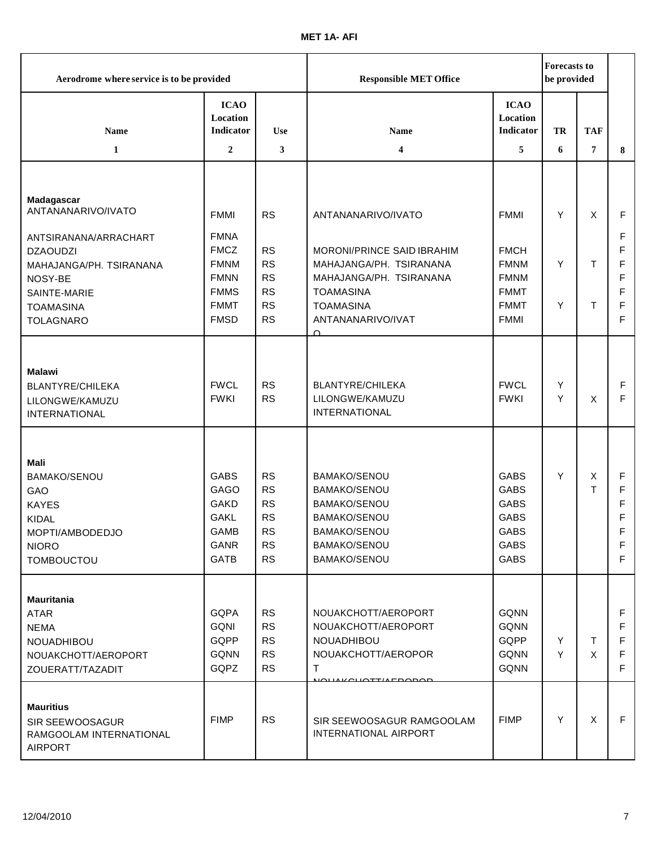| Aerodrome where service is to be provided                                                                                          |                                                                                                       |                                                                                         | <b>Responsible MET Office</b>                                                                                                                   |                                                                                                       |        | <b>Forecasts to</b><br>be provided |                                 |
|------------------------------------------------------------------------------------------------------------------------------------|-------------------------------------------------------------------------------------------------------|-----------------------------------------------------------------------------------------|-------------------------------------------------------------------------------------------------------------------------------------------------|-------------------------------------------------------------------------------------------------------|--------|------------------------------------|---------------------------------|
| Name                                                                                                                               | <b>ICAO</b><br>Location<br>Indicator                                                                  | <b>Use</b>                                                                              | <b>Name</b>                                                                                                                                     | <b>ICAO</b><br>Location<br>Indicator                                                                  | TR     | <b>TAF</b>                         |                                 |
| $\mathbf{1}$                                                                                                                       | $\overline{2}$                                                                                        | 3                                                                                       | 4                                                                                                                                               | 5                                                                                                     | 6      | 7                                  | 8                               |
| Madagascar<br>ANTANANARIVO/IVATO<br>ANTSIRANANA/ARRACHART<br><b>DZAOUDZI</b><br>MAHAJANGA/PH. TSIRANANA<br>NOSY-BE<br>SAINTE-MARIE | <b>FMMI</b><br><b>FMNA</b><br><b>FMCZ</b><br><b>FMNM</b><br><b>FMNN</b><br><b>FMMS</b>                | <b>RS</b><br><b>RS</b><br><b>RS</b><br><b>RS</b><br><b>RS</b>                           | ANTANANARIVO/IVATO<br>MORONI/PRINCE SAID IBRAHIM<br>MAHAJANGA/PH. TSIRANANA<br>MAHAJANGA/PH. TSIRANANA<br><b>TOAMASINA</b>                      | <b>FMMI</b><br><b>FMCH</b><br><b>FMNM</b><br><b>FMNM</b><br><b>FMMT</b>                               | Y<br>Y | X<br>Τ                             | F<br>F<br>F<br>F<br>F<br>F      |
| <b>TOAMASINA</b><br><b>TOLAGNARO</b>                                                                                               | <b>FMMT</b><br><b>FMSD</b>                                                                            | <b>RS</b><br><b>RS</b>                                                                  | <b>TOAMASINA</b><br>ANTANANARIVO/IVAT                                                                                                           | <b>FMMT</b><br><b>FMMI</b>                                                                            | Y      | Τ                                  | F<br>F                          |
| <b>Malawi</b><br>BLANTYRE/CHILEKA<br>LILONGWE/KAMUZU<br><b>INTERNATIONAL</b>                                                       | <b>FWCL</b><br><b>FWKI</b>                                                                            | <b>RS</b><br><b>RS</b>                                                                  | $\cap$<br>BLANTYRE/CHILEKA<br>LILONGWE/KAMUZU<br><b>INTERNATIONAL</b>                                                                           | <b>FWCL</b><br><b>FWKI</b>                                                                            | Y<br>Y | X                                  | F<br>F                          |
| <b>Mali</b><br>BAMAKO/SENOU<br>GAO<br><b>KAYES</b><br><b>KIDAL</b><br>MOPTI/AMBODEDJO<br><b>NIORO</b><br><b>TOMBOUCTOU</b>         | <b>GABS</b><br><b>GAGO</b><br><b>GAKD</b><br><b>GAKL</b><br><b>GAMB</b><br><b>GANR</b><br><b>GATB</b> | <b>RS</b><br><b>RS</b><br><b>RS</b><br><b>RS</b><br><b>RS</b><br><b>RS</b><br><b>RS</b> | <b>BAMAKO/SENOU</b><br>BAMAKO/SENOU<br><b>BAMAKO/SENOU</b><br><b>BAMAKO/SENOU</b><br>BAMAKO/SENOU<br><b>BAMAKO/SENOU</b><br><b>BAMAKO/SENOU</b> | <b>GABS</b><br><b>GABS</b><br><b>GABS</b><br><b>GABS</b><br><b>GABS</b><br><b>GABS</b><br><b>GABS</b> | Y      | Х<br>T                             | F<br>F<br>F<br>F<br>F<br>F<br>F |
| <b>Mauritania</b><br>ATAR<br><b>NEMA</b><br>NOUADHIBOU<br>NOUAKCHOTT/AEROPORT<br>ZOUERATT/TAZADIT                                  | <b>GQPA</b><br><b>GQNI</b><br>GQPP<br><b>GQNN</b><br>GQPZ                                             | <b>RS</b><br><b>RS</b><br><b>RS</b><br><b>RS</b><br><b>RS</b>                           | NOUAKCHOTT/AEROPORT<br>NOUAKCHOTT/AEROPORT<br>NOUADHIBOU<br>NOUAKCHOTT/AEROPOR<br>T                                                             | <b>GQNN</b><br><b>GQNN</b><br>GQPP<br><b>GQNN</b><br><b>GQNN</b>                                      | Y<br>Y | Τ<br>X                             | F<br>F<br>F<br>F<br>F           |
| <b>Mauritius</b><br>SIR SEEWOOSAGUR<br>RAMGOOLAM INTERNATIONAL<br><b>AIRPORT</b>                                                   | <b>FIMP</b>                                                                                           | <b>RS</b>                                                                               | SIR SEEWOOSAGUR RAMGOOLAM<br>INTERNATIONAL AIRPORT                                                                                              | <b>FIMP</b>                                                                                           | Υ      | X                                  | F                               |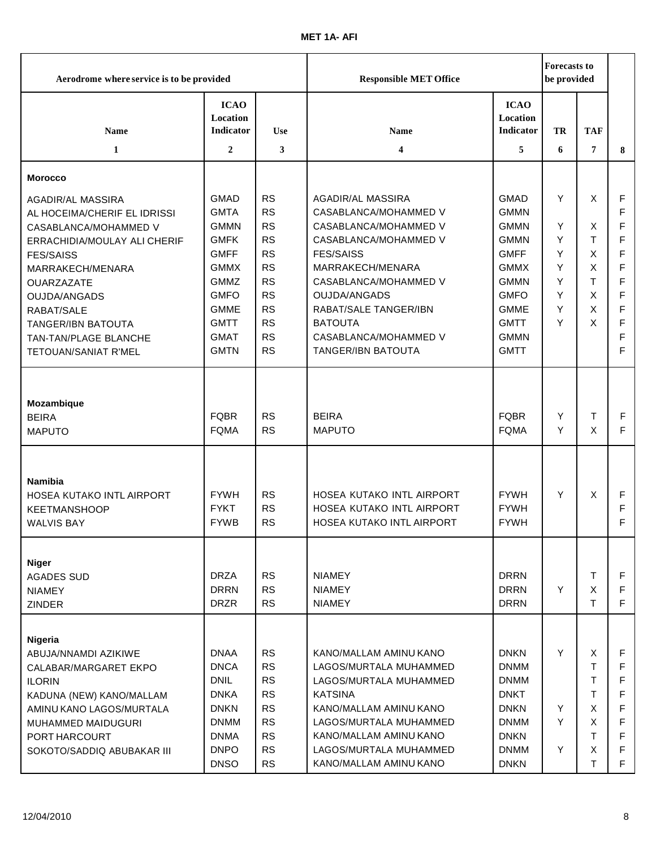| Aerodrome where service is to be provided                                                                                                                                                                                                                                                         |                                                                                                                                                                                  |                                                                                                                                                          | <b>Responsible MET Office</b>                                                                                                                                                                                                                                                  |                                                                                                                                                                                  | <b>Forecasts to</b><br>be provided        |                                            |                                                     |
|---------------------------------------------------------------------------------------------------------------------------------------------------------------------------------------------------------------------------------------------------------------------------------------------------|----------------------------------------------------------------------------------------------------------------------------------------------------------------------------------|----------------------------------------------------------------------------------------------------------------------------------------------------------|--------------------------------------------------------------------------------------------------------------------------------------------------------------------------------------------------------------------------------------------------------------------------------|----------------------------------------------------------------------------------------------------------------------------------------------------------------------------------|-------------------------------------------|--------------------------------------------|-----------------------------------------------------|
| <b>Name</b><br>$\mathbf{1}$                                                                                                                                                                                                                                                                       | <b>ICAO</b><br>Location<br><b>Indicator</b><br>$\mathbf{2}$                                                                                                                      | <b>Use</b><br>3                                                                                                                                          | Name<br>4                                                                                                                                                                                                                                                                      | <b>ICAO</b><br>Location<br>Indicator<br>5                                                                                                                                        | TR<br>6                                   | <b>TAF</b><br>7                            | 8                                                   |
|                                                                                                                                                                                                                                                                                                   |                                                                                                                                                                                  |                                                                                                                                                          |                                                                                                                                                                                                                                                                                |                                                                                                                                                                                  |                                           |                                            |                                                     |
| <b>Morocco</b>                                                                                                                                                                                                                                                                                    |                                                                                                                                                                                  |                                                                                                                                                          |                                                                                                                                                                                                                                                                                |                                                                                                                                                                                  |                                           |                                            |                                                     |
| <b>AGADIR/AL MASSIRA</b><br>AL HOCEIMA/CHERIF EL IDRISSI<br>CASABLANCA/MOHAMMED V<br>ERRACHIDIA/MOULAY ALI CHERIF<br><b>FES/SAISS</b><br>MARRAKECH/MENARA<br><b>OUARZAZATE</b><br><b>OUJDA/ANGADS</b><br>RABAT/SALE<br><b>TANGER/IBN BATOUTA</b><br>TAN-TAN/PLAGE BLANCHE<br>TETOUAN/SANIAT R'MEL | <b>GMAD</b><br><b>GMTA</b><br><b>GMMN</b><br><b>GMFK</b><br><b>GMFF</b><br><b>GMMX</b><br><b>GMMZ</b><br><b>GMFO</b><br><b>GMME</b><br><b>GMTT</b><br><b>GMAT</b><br><b>GMTN</b> | <b>RS</b><br><b>RS</b><br><b>RS</b><br><b>RS</b><br><b>RS</b><br><b>RS</b><br><b>RS</b><br><b>RS</b><br><b>RS</b><br><b>RS</b><br><b>RS</b><br><b>RS</b> | AGADIR/AL MASSIRA<br>CASABLANCA/MOHAMMED V<br>CASABLANCA/MOHAMMED V<br>CASABLANCA/MOHAMMED V<br><b>FES/SAISS</b><br>MARRAKECH/MENARA<br>CASABLANCA/MOHAMMED V<br><b>OUJDA/ANGADS</b><br>RABAT/SALE TANGER/IBN<br><b>BATOUTA</b><br>CASABLANCA/MOHAMMED V<br>TANGER/IBN BATOUTA | <b>GMAD</b><br><b>GMMN</b><br><b>GMMN</b><br><b>GMMN</b><br><b>GMFF</b><br><b>GMMX</b><br><b>GMMN</b><br><b>GMFO</b><br><b>GMME</b><br><b>GMTT</b><br><b>GMMN</b><br><b>GMTT</b> | Y<br>Y<br>Y<br>Y<br>Υ<br>Υ<br>Y<br>Y<br>Y | X<br>X<br>T<br>X<br>X<br>T<br>X<br>X<br>X  | F<br>F<br>F<br>F<br>F<br>F<br>F<br>F<br>F<br>F<br>F |
| Mozambique<br><b>BEIRA</b><br><b>MAPUTO</b>                                                                                                                                                                                                                                                       | <b>FQBR</b><br><b>FQMA</b>                                                                                                                                                       | <b>RS</b><br><b>RS</b>                                                                                                                                   | <b>BEIRA</b><br><b>MAPUTO</b>                                                                                                                                                                                                                                                  | <b>FQBR</b><br><b>FQMA</b>                                                                                                                                                       | Y<br>Y                                    | T<br>X                                     | F<br>F                                              |
| <b>Namibia</b><br>HOSEA KUTAKO INTL AIRPORT<br><b>KEETMANSHOOP</b><br><b>WALVIS BAY</b>                                                                                                                                                                                                           | <b>FYWH</b><br><b>FYKT</b><br><b>FYWB</b>                                                                                                                                        | <b>RS</b><br><b>RS</b><br><b>RS</b>                                                                                                                      | HOSEA KUTAKO INTL AIRPORT<br>HOSEA KUTAKO INTL AIRPORT<br>HOSEA KUTAKO INTL AIRPORT                                                                                                                                                                                            | <b>FYWH</b><br><b>FYWH</b><br><b>FYWH</b>                                                                                                                                        | Y                                         | X                                          | F<br>F<br>F                                         |
| <b>Niger</b><br><b>AGADES SUD</b><br><b>NIAMEY</b><br><b>ZINDER</b>                                                                                                                                                                                                                               | <b>DRZA</b><br><b>DRRN</b><br><b>DRZR</b>                                                                                                                                        | <b>RS</b><br><b>RS</b><br><b>RS</b>                                                                                                                      | <b>NIAMEY</b><br><b>NIAMEY</b><br><b>NIAMEY</b>                                                                                                                                                                                                                                | <b>DRRN</b><br><b>DRRN</b><br><b>DRRN</b>                                                                                                                                        | Y                                         | т<br>X<br>T                                | F<br>F<br>F                                         |
| Nigeria<br>ABUJA/NNAMDI AZIKIWE<br>CALABAR/MARGARET EKPO<br><b>ILORIN</b><br>KADUNA (NEW) KANO/MALLAM<br>AMINU KANO LAGOS/MURTALA<br>MUHAMMED MAIDUGURI<br>PORT HARCOURT<br>SOKOTO/SADDIQ ABUBAKAR III                                                                                            | <b>DNAA</b><br><b>DNCA</b><br><b>DNIL</b><br><b>DNKA</b><br><b>DNKN</b><br><b>DNMM</b><br><b>DNMA</b><br><b>DNPO</b><br><b>DNSO</b>                                              | <b>RS</b><br><b>RS</b><br><b>RS</b><br><b>RS</b><br><b>RS</b><br><b>RS</b><br><b>RS</b><br><b>RS</b><br><b>RS</b>                                        | KANO/MALLAM AMINU KANO<br>LAGOS/MURTALA MUHAMMED<br>LAGOS/MURTALA MUHAMMED<br><b>KATSINA</b><br>KANO/MALLAM AMINU KANO<br>LAGOS/MURTALA MUHAMMED<br>KANO/MALLAM AMINU KANO<br>LAGOS/MURTALA MUHAMMED<br>KANO/MALLAM AMINU KANO                                                 | <b>DNKN</b><br><b>DNMM</b><br><b>DNMM</b><br><b>DNKT</b><br><b>DNKN</b><br><b>DNMM</b><br><b>DNKN</b><br><b>DNMM</b><br><b>DNKN</b>                                              | Y<br>Y<br>Y<br>Y                          | X<br>Τ<br>T<br>T.<br>X<br>X<br>Τ<br>X<br>т | F<br>F<br>F<br>F<br>F.                              |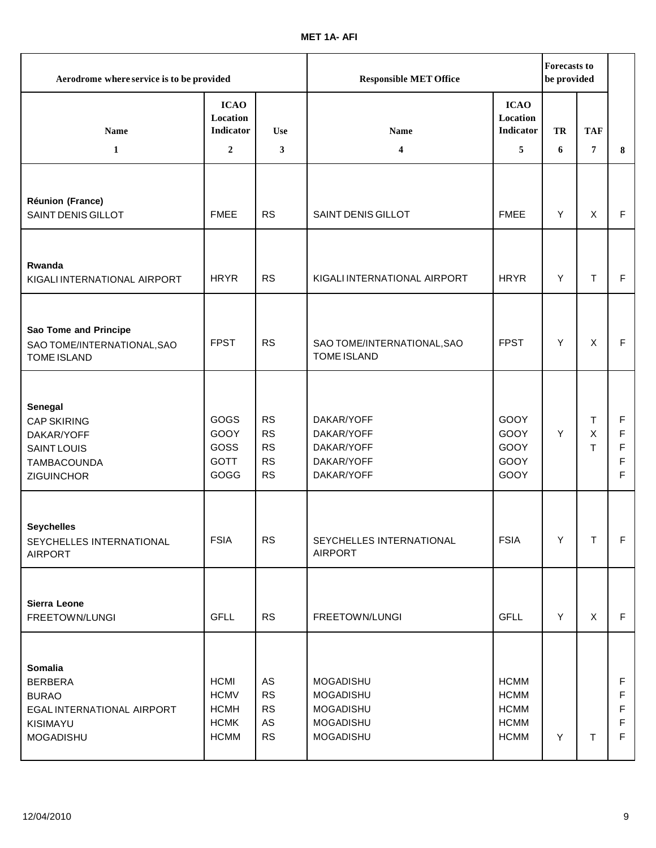| Aerodrome where service is to be provided                                                        |                                                                         |                                                 | <b>Responsible MET Office</b>                                      |                                                                         |    | <b>Forecasts to</b><br>be provided |                       |
|--------------------------------------------------------------------------------------------------|-------------------------------------------------------------------------|-------------------------------------------------|--------------------------------------------------------------------|-------------------------------------------------------------------------|----|------------------------------------|-----------------------|
| <b>Name</b>                                                                                      | <b>ICAO</b><br>Location<br>Indicator                                    | <b>Use</b>                                      | <b>Name</b>                                                        | <b>ICAO</b><br>Location<br><b>Indicator</b>                             | TR | <b>TAF</b>                         |                       |
| $\mathbf{1}$                                                                                     | $\overline{2}$                                                          | 3                                               | $\overline{\mathbf{4}}$                                            | 5                                                                       | 6  | 7                                  | 8                     |
| Réunion (France)<br>SAINT DENIS GILLOT                                                           | <b>FMEE</b>                                                             | <b>RS</b>                                       | <b>SAINT DENIS GILLOT</b>                                          | <b>FMEE</b>                                                             | Y  | X                                  | F                     |
| Rwanda<br>KIGALI INTERNATIONAL AIRPORT                                                           | <b>HRYR</b>                                                             | <b>RS</b>                                       | KIGALI INTERNATIONAL AIRPORT                                       | <b>HRYR</b>                                                             | Y  | T.                                 | F                     |
| Sao Tome and Principe<br>SAO TOME/INTERNATIONAL, SAO<br><b>TOME ISLAND</b>                       | <b>FPST</b>                                                             | <b>RS</b>                                       | SAO TOME/INTERNATIONAL, SAO<br><b>TOME ISLAND</b>                  | <b>FPST</b>                                                             | Y  | $\mathsf{X}$                       | F                     |
| Senegal<br><b>CAP SKIRING</b><br>DAKAR/YOFF<br><b>SAINT LOUIS</b><br>TAMBACOUNDA<br>ZIGUINCHOR   | GOGS<br>GOOY<br>GOSS<br><b>GOTT</b><br>GOGG                             | <b>RS</b><br>RS<br>RS<br><b>RS</b><br><b>RS</b> | DAKAR/YOFF<br>DAKAR/YOFF<br>DAKAR/YOFF<br>DAKAR/YOFF<br>DAKAR/YOFF | GOOY<br>GOOY<br>GOOY<br>GOOY<br>GOOY                                    | Y  | Τ<br>$\mathsf X$<br>$\mathsf{T}$   | F<br>F<br>F<br>F<br>F |
| <b>Seychelles</b><br>SEYCHELLES INTERNATIONAL<br><b>AIRPORT</b>                                  | <b>FSIA</b>                                                             | RS                                              | SEYCHELLES INTERNATIONAL<br><b>AIRPORT</b>                         | <b>FSIA</b>                                                             | Y  | Τ                                  | F                     |
| Sierra Leone<br>FREETOWN/LUNGI                                                                   | <b>GFLL</b>                                                             | <b>RS</b>                                       | FREETOWN/LUNGI                                                     | <b>GFLL</b>                                                             | Y  | X                                  | F                     |
| Somalia<br><b>BERBERA</b><br><b>BURAO</b><br>EGAL INTERNATIONAL AIRPORT<br>KISIMAYU<br>MOGADISHU | <b>HCMI</b><br><b>HCMV</b><br><b>HCMH</b><br><b>HCMK</b><br><b>HCMM</b> | AS<br>RS<br><b>RS</b><br>AS<br><b>RS</b>        | MOGADISHU<br>MOGADISHU<br>MOGADISHU<br>MOGADISHU<br>MOGADISHU      | <b>HCMM</b><br><b>HCMM</b><br><b>HCMM</b><br><b>HCMM</b><br><b>HCMM</b> | Y  | $\mathsf T$                        | F<br>F<br>F<br>F<br>F |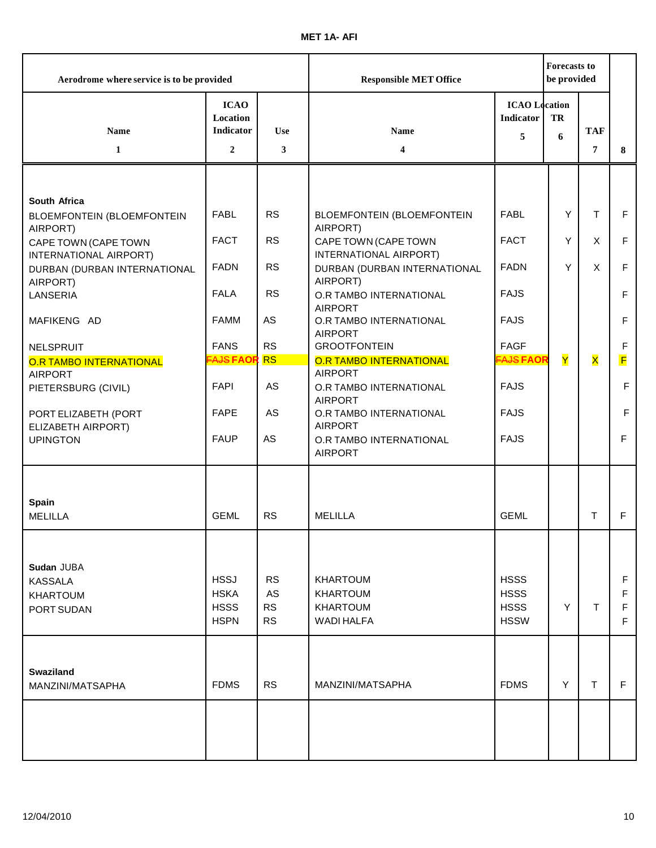| Aerodrome where service is to be provided                     |                                                               |                        | <b>Responsible MET Office</b>                    |                                               |         | <b>Forecasts to</b><br>be provided |             |
|---------------------------------------------------------------|---------------------------------------------------------------|------------------------|--------------------------------------------------|-----------------------------------------------|---------|------------------------------------|-------------|
| Name<br>$\mathbf{1}$                                          | <b>ICAO</b><br>Location<br><b>Indicator</b><br>$\overline{2}$ | <b>Use</b><br>3        | <b>Name</b><br>4                                 | <b>ICAO</b> Location<br><b>Indicator</b><br>5 | TR<br>6 | <b>TAF</b><br>7                    | 8           |
|                                                               |                                                               |                        |                                                  |                                               |         |                                    |             |
| South Africa<br><b>BLOEMFONTEIN (BLOEMFONTEIN</b><br>AIRPORT) | <b>FABL</b>                                                   | <b>RS</b>              | <b>BLOEMFONTEIN (BLOEMFONTEIN</b><br>AIRPORT)    | <b>FABL</b>                                   | Y       | T                                  | $\mathsf F$ |
| CAPE TOWN (CAPE TOWN<br>INTERNATIONAL AIRPORT)                | <b>FACT</b>                                                   | <b>RS</b>              | CAPE TOWN (CAPE TOWN<br>INTERNATIONAL AIRPORT)   | <b>FACT</b>                                   | Y       | $\mathsf{X}$                       | $\mathsf F$ |
| DURBAN (DURBAN INTERNATIONAL<br>AIRPORT)                      | <b>FADN</b>                                                   | <b>RS</b>              | DURBAN (DURBAN INTERNATIONAL<br>AIRPORT)         | <b>FADN</b>                                   | Y       | $\mathsf{X}$                       | F           |
| LANSERIA                                                      | <b>FALA</b>                                                   | <b>RS</b>              | O.R TAMBO INTERNATIONAL<br><b>AIRPORT</b>        | <b>FAJS</b>                                   |         |                                    | F           |
| MAFIKENG AD                                                   | <b>FAMM</b>                                                   | AS                     | O.R TAMBO INTERNATIONAL<br><b>AIRPORT</b>        | <b>FAJS</b>                                   |         |                                    | F           |
| NELSPRUIT                                                     | <b>FANS</b>                                                   | <b>RS</b>              | <b>GROOTFONTEIN</b>                              | <b>FAGF</b>                                   |         |                                    | F           |
| <b>O.R TAMBO INTERNATIONAL</b><br><b>AIRPORT</b>              | <b>EAJS FAOR</b>                                              | <b>RS</b>              | <b>O.R TAMBO INTERNATIONAL</b><br><b>AIRPORT</b> | <b>FAJS FAOR</b>                              | Y       | X                                  | F           |
| PIETERSBURG (CIVIL)                                           | <b>FAPI</b>                                                   | AS                     | O.R TAMBO INTERNATIONAL<br><b>AIRPORT</b>        | <b>FAJS</b>                                   |         |                                    | $\mathsf F$ |
| PORT ELIZABETH (PORT<br>ELIZABETH AIRPORT)                    | <b>FAPE</b>                                                   | AS                     | O.R TAMBO INTERNATIONAL<br><b>AIRPORT</b>        | <b>FAJS</b>                                   |         |                                    | F           |
| <b>UPINGTON</b>                                               | <b>FAUP</b>                                                   | AS                     | O.R TAMBO INTERNATIONAL<br><b>AIRPORT</b>        | <b>FAJS</b>                                   |         |                                    | F           |
|                                                               |                                                               |                        |                                                  |                                               |         |                                    |             |
| Spain<br><b>MELILLA</b>                                       | <b>GEML</b>                                                   | <b>RS</b>              | <b>MELILLA</b>                                   | <b>GEML</b>                                   |         | T                                  | F           |
|                                                               |                                                               |                        |                                                  |                                               |         |                                    |             |
| Sudan JUBA<br><b>KASSALA</b>                                  | <b>HSSJ</b>                                                   | <b>RS</b>              | <b>KHARTOUM</b>                                  | <b>HSSS</b>                                   |         |                                    | F           |
| <b>KHARTOUM</b>                                               | <b>HSKA</b>                                                   | AS                     | <b>KHARTOUM</b>                                  | <b>HSSS</b>                                   |         |                                    | F           |
| PORT SUDAN                                                    | <b>HSSS</b><br><b>HSPN</b>                                    | <b>RS</b><br><b>RS</b> | <b>KHARTOUM</b><br><b>WADI HALFA</b>             | <b>HSSS</b><br><b>HSSW</b>                    | Y       | т                                  | F<br>F      |
|                                                               |                                                               |                        |                                                  |                                               |         |                                    |             |
| <b>Swaziland</b><br>MANZINI/MATSAPHA                          | <b>FDMS</b>                                                   | <b>RS</b>              | MANZINI/MATSAPHA                                 | <b>FDMS</b>                                   | Y       | T.                                 | F.          |
|                                                               |                                                               |                        |                                                  |                                               |         |                                    |             |
|                                                               |                                                               |                        |                                                  |                                               |         |                                    |             |